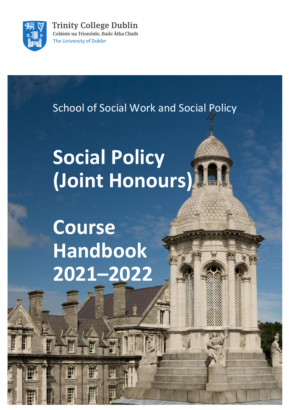

**Trinity College Dublin** Coláiste na Tríonóide, Baile Átha Cliath The University of Dublin

School of Social Work and Social Policy

# **Social Policy (Joint Honours)**

**Course Handbook 2021–2022**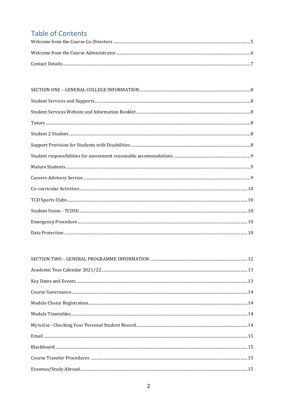# **Table of Contents**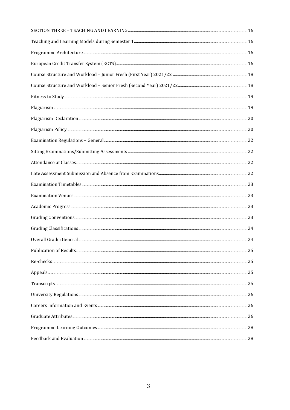| $\begin{minipage}[c]{0.9\linewidth} \textbf{Examination Time tables} \end{minipage} \begin{minipage}[c]{0.9\linewidth} \textbf{Examination Time} \end{minipage} \begin{minipage}[c]{0.9\linewidth} \textbf{Examination Time} \end{minipage} \begin{minipage}[c]{0.9\linewidth} \textbf{Examination Time} \end{minipage} \begin{minipage}[c]{0.9\linewidth} \textbf{Examination Time} \end{minipage} \begin{minipage}[c]{0.9\linewidth} \textbf{Examination Time} \end{minipage} \begin{minipage}[c]{0.9\linewidth} \textbf{Examination Time} \end{minipage} \begin{minipage}[c]{$ |  |
|-----------------------------------------------------------------------------------------------------------------------------------------------------------------------------------------------------------------------------------------------------------------------------------------------------------------------------------------------------------------------------------------------------------------------------------------------------------------------------------------------------------------------------------------------------------------------------------|--|
|                                                                                                                                                                                                                                                                                                                                                                                                                                                                                                                                                                                   |  |
|                                                                                                                                                                                                                                                                                                                                                                                                                                                                                                                                                                                   |  |
|                                                                                                                                                                                                                                                                                                                                                                                                                                                                                                                                                                                   |  |
|                                                                                                                                                                                                                                                                                                                                                                                                                                                                                                                                                                                   |  |
|                                                                                                                                                                                                                                                                                                                                                                                                                                                                                                                                                                                   |  |
|                                                                                                                                                                                                                                                                                                                                                                                                                                                                                                                                                                                   |  |
|                                                                                                                                                                                                                                                                                                                                                                                                                                                                                                                                                                                   |  |
|                                                                                                                                                                                                                                                                                                                                                                                                                                                                                                                                                                                   |  |
|                                                                                                                                                                                                                                                                                                                                                                                                                                                                                                                                                                                   |  |
|                                                                                                                                                                                                                                                                                                                                                                                                                                                                                                                                                                                   |  |
|                                                                                                                                                                                                                                                                                                                                                                                                                                                                                                                                                                                   |  |
|                                                                                                                                                                                                                                                                                                                                                                                                                                                                                                                                                                                   |  |
|                                                                                                                                                                                                                                                                                                                                                                                                                                                                                                                                                                                   |  |
|                                                                                                                                                                                                                                                                                                                                                                                                                                                                                                                                                                                   |  |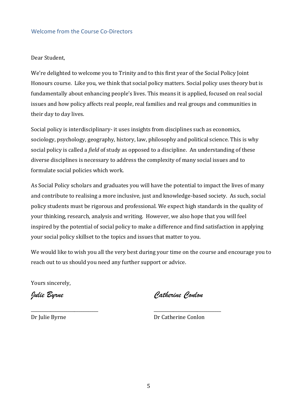#### <span id="page-4-0"></span>Welcome from the Course Co-Directors

Dear Student,

We're delighted to welcome you to Trinity and to this first year of the Social Policy Joint Honours course. Like you, we think that social policy matters. Social policy uses theory but is fundamentally about enhancing people's lives. This means it is applied, focused on real social issues and how policy affects real people, real families and real groups and communities in their day to day lives.

Social policy is interdisciplinary- it uses insights from disciplines such as economics, sociology, psychology, geography, history, law, philosophy and political science. This is why social policy is called a *field* of study as opposed to a discipline. An understanding of these diverse disciplines is necessary to address the complexity of many social issues and to formulate social policies which work.

As Social Policy scholars and graduates you will have the potential to impact the lives of many and contribute to realising a more inclusive, just and knowledge-based society. As such, social policy students must be rigorous and professional. We expect high standards in the quality of your thinking, research, analysis and writing. However, we also hope that you will feel inspired by the potential of social policy to make a difference and find satisfaction in applying your social policy skillset to the topics and issues that matter to you.

We would like to wish you all the very best during your time on the course and encourage you to reach out to us should you need any further support or advice.

\_\_\_\_\_\_\_\_\_\_\_\_\_\_\_\_\_\_\_\_\_\_\_\_\_\_\_\_\_\_\_ \_\_\_\_\_\_\_\_\_\_\_\_\_\_\_\_\_\_\_\_\_\_\_\_\_\_\_\_\_\_\_

Yours sincerely,

*Julie Byrne Catherine Conlon*

Dr Julie Byrne Dr Catherine Conlon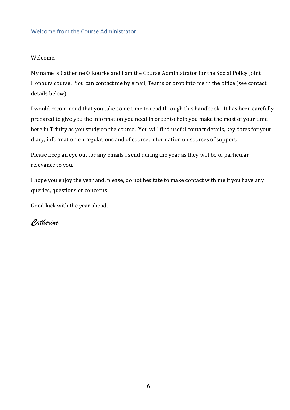# <span id="page-5-0"></span>Welcome from the Course Administrator

Welcome,

My name is Catherine O Rourke and I am the Course Administrator for the Social Policy Joint Honours course. You can contact me by email, Teams or drop into me in the office (see contact details below).

I would recommend that you take some time to read through this handbook. It has been carefully prepared to give you the information you need in order to help you make the most of your time here in Trinity as you study on the course. You will find useful contact details, key dates for your diary, information on regulations and of course, information on sources of support.

Please keep an eye out for any emails I send during the year as they will be of particular relevance to you.

I hope you enjoy the year and, please, do not hesitate to make contact with me if you have any queries, questions or concerns.

Good luck with the year ahead,

*Catherine.*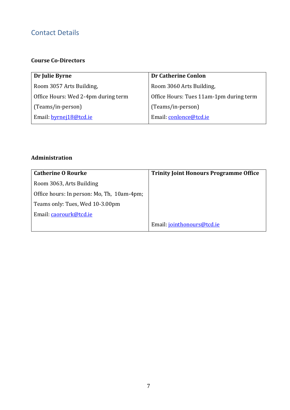# <span id="page-6-0"></span>Contact Details

# **Course Co-Directors**

| <b>Dr Catherine Conlon</b>              |
|-----------------------------------------|
| Room 3060 Arts Building,                |
| Office Hours: Tues 11am-1pm during term |
| (Teams/in-person)                       |
| Email: conlonce@tcd.ie                  |
|                                         |

# **Administration**

| <b>Catherine O Rourke</b>                  | <b>Trinity Joint Honours Programme Office</b> |
|--------------------------------------------|-----------------------------------------------|
| Room 3063, Arts Building                   |                                               |
| Office hours: In person: Mo, Th, 10am-4pm; |                                               |
| Teams only: Tues, Wed 10-3.00pm            |                                               |
| Email: caorourk@tcd.ie                     |                                               |
|                                            | Email: jointhonours@tcd.ie                    |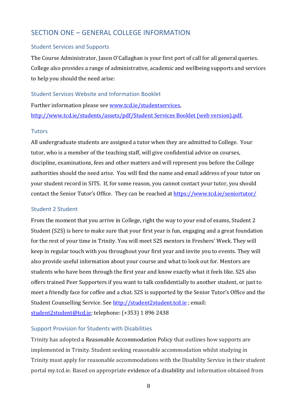# <span id="page-7-0"></span>SECTION ONE – GENERAL COLLEGE INFORMATION

#### <span id="page-7-1"></span>Student Services and Supports

The Course Administrator, Jason O'Callaghan is your first port of call for all general queries. College also provides a range of administrative, academic and wellbeing supports and services to help you should the need arise:

#### <span id="page-7-2"></span>Student Services Website and Information Booklet

Further information please se[e www.tcd.ie/studentservices,](http://www.tcd.ie/studentservices) [http://www.tcd.ie/students/assets/pdf/Student Services Booklet \(web version\).pdf.](http://www.tcd.ie/students/assets/pdf/Student%20Services%20Booklet%20(web%20version).pdf)

#### <span id="page-7-3"></span>**Tutors**

All undergraduate students are assigned a tutor when they are admitted to College. Your tutor, who is a member of the teaching staff, will give confidential advice on courses, discipline, examinations, fees and other matters and will represent you before the College authorities should the need arise. You will find the name and email address of your tutor on your student record in SITS. If, for some reason, you cannot contact your tutor, you should contact the Senior Tutor's Office. They can be reached at<https://www.tcd.ie/seniortutor/>

# <span id="page-7-4"></span>Student 2 Student

From the moment that you arrive in College, right the way to your end of exams, Student 2 Student (S2S) is here to make sure that your first year is fun, engaging and a great foundation for the rest of your time in Trinity. You will meet S2S mentors in Freshers' Week. They will keep in regular touch with you throughout your first year and invite you to events. They will also provide useful information about your course and what to look out for. Mentors are students who have been through the first year and know exactly what it feels like. S2S also offers trained Peer Supporters if you want to talk confidentially to another student, or just to meet a friendly face for coffee and a chat. S2S is supported by the Senior Tutor's Office and the Student Counselling Service. Se[e http://student2student.tcd.ie](http://student2student.tcd.ie/); email: [student2student@tcd.ie;](mailto:student2student@tcd.ie) telephone: (+353) 1 896 2438

#### <span id="page-7-5"></span>Support Provision for Students with Disabilities

Trinity has adopted a Reasonable Accommodation Policy that outlines how supports are implemented in Trinity. Student seeking reasonable accommodation whilst studying in Trinity must apply [for reasonable accommodations](https://www.tcd.ie/disability/current/RAApplication.php) with the Disability Service in their student portal my.tcd.ie. Based on appropriate evidence of a disability and information obtained from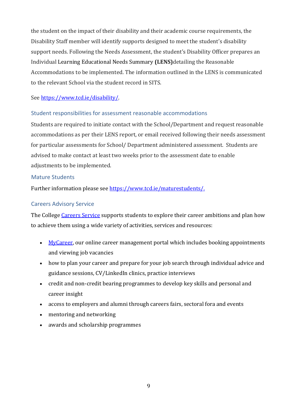the student on the impact of their disability and their academic course requirements, the Disability Staff member will identify supports designed to meet the student's disability support needs. Following the Needs Assessment, the student's Disability Officer prepares an Individual Learning Educational Needs Summary **(LENS)**detailing the Reasonable Accommodations to be implemented. The information outlined in the LENS is communicated to the relevant School via the student record in SITS.

# See [https://www.tcd.ie/disability/.](https://www.tcd.ie/disability/)

# <span id="page-8-0"></span>Student responsibilities for assessment reasonable accommodations

Students are required to initiate contact with the School/Department and request reasonable accommodations as per their LENS report, or email received following their needs assessment for particular assessments for School/ Department administered assessment. Students are advised to make contact at least two weeks prior to the assessment date to enable adjustments to be implemented.

#### <span id="page-8-1"></span>Mature Students

Further information please se[e https://www.tcd.ie/maturestudents/.](https://www.tcd.ie/maturestudents/)

# <span id="page-8-2"></span>Careers Advisory Service

The College [Careers Service](http://www.tcd.ie/Careers/) supports students to explore their career ambitions and plan how to achieve them using a wide variety of activities, services and resources:

- [MyCareer,](https://www.tcd.ie/Careers/mycareer/index.php) our online career management portal which includes booking appointments and viewing job vacancies
- how to plan your career and prepare for your job search through individual advice and guidance sessions, CV/LinkedIn clinics, practice interviews
- credit and non-credit bearing programmes to develop key skills and personal and career insight
- access to employers and alumni through careers fairs, sectoral fora and events
- mentoring and networking
- awards and scholarship programmes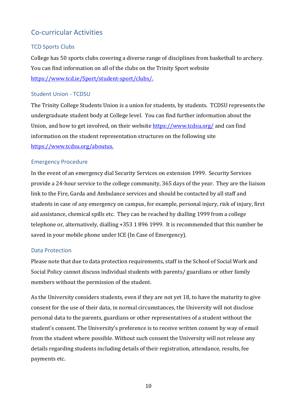# <span id="page-9-0"></span>Co-curricular Activities

# <span id="page-9-1"></span>TCD Sports Clubs

College has 50 sports clubs covering a diverse range of disciplines from basketball to archery. You can find information on all of the clubs on the Trinity Sport website [https://www.tcd.ie/Sport/student-sport/clubs/.](https://www.tcd.ie/Sport/student-sport/clubs/)

# <span id="page-9-2"></span>Student Union - TCDSU

The Trinity College Students Union is a union for students, by students. TCDSU represents the undergraduate student body at College level. You can find further information about the Union, and how to get involved, on their website <https://www.tcdsu.org/> and can find information on the student representation structures on the following site [https://www.tcdsu.org/aboutus.](https://www.tcdsu.org/aboutus)

# <span id="page-9-3"></span>Emergency Procedure

In the event of an emergency dial Security Services on extension 1999. Security Services provide a 24-hour service to the college community, 365 days of the year. They are the liaison link to the Fire, Garda and Ambulance services and should be contacted by all staff and students in case of any emergency on campus, for example, personal injury, risk of injury, first aid assistance, chemical spills etc. They can be reached by dialling 1999 from a college telephone or, alternatively, dialling +353 1 896 1999. It is recommended that this number be saved in your mobile phone under ICE (In Case of Emergency).

# <span id="page-9-4"></span>Data Protection

Please note that due to data protection requirements, staff in the School of Social Work and Social Policy cannot discuss individual students with parents/ guardians or other family members without the permission of the student.

As the University considers students, even if they are not yet 18, to have the maturity to give consent for the use of their data, in normal circumstances, the University will not disclose personal data to the parents, guardians or other representatives of a student without the student's consent. The University's preference is to receive written consent by way of email from the student where possible. Without such consent the University will not release any details regarding students including details of their registration, attendance, results, fee payments etc.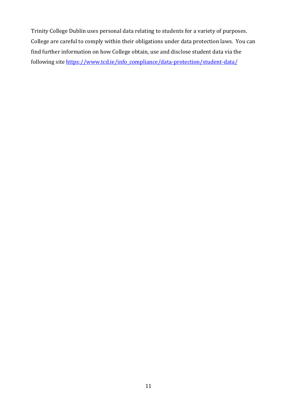Trinity College Dublin uses personal data relating to students for a variety of purposes. College are careful to comply within their obligations under data protection laws. You can find further information on how College obtain, use and disclose student data via the following site [https://www.tcd.ie/info\\_compliance/data-protection/student-data/](https://www.tcd.ie/info_compliance/data-protection/student-data/)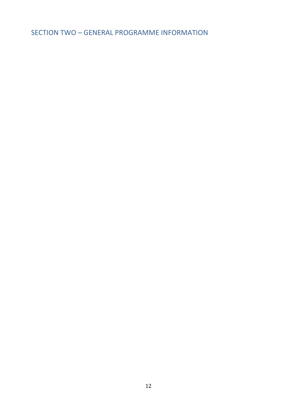<span id="page-11-0"></span>SECTION TWO – GENERAL PROGRAMME INFORMATION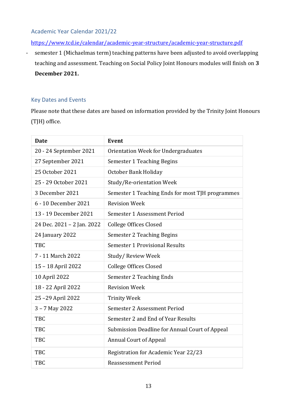<span id="page-12-0"></span>Academic Year Calendar 2021/22

<https://www.tcd.ie/calendar/academic-year-structure/academic-year-structure.pdf>

- semester 1 (Michaelmas term) teaching patterns have been adjusted to avoid overlapping teaching and assessment. Teaching on Social Policy Joint Honours modules will finish on **3 December 2021.**

# <span id="page-12-1"></span>Key Dates and Events

Please note that these dates are based on information provided by the Trinity Joint Honours (TJH) office.

| <b>Date</b>                | <b>Event</b>                                     |
|----------------------------|--------------------------------------------------|
| 20 - 24 September 2021     | Orientation Week for Undergraduates              |
| 27 September 2021          | Semester 1 Teaching Begins                       |
| 25 October 2021            | October Bank Holiday                             |
| 25 - 29 October 2021       | Study/Re-orientation Week                        |
| 3 December 2021            | Semester 1 Teaching Ends for most TJH programmes |
| 6 - 10 December 2021       | <b>Revision Week</b>                             |
| 13 - 19 December 2021      | Semester 1 Assessment Period                     |
| 24 Dec. 2021 - 2 Jan. 2022 | <b>College Offices Closed</b>                    |
| 24 January 2022            | Semester 2 Teaching Begins                       |
| <b>TBC</b>                 | Semester 1 Provisional Results                   |
| 7 - 11 March 2022          | Study/Review Week                                |
| 15 - 18 April 2022         | <b>College Offices Closed</b>                    |
| 10 April 2022              | Semester 2 Teaching Ends                         |
| 18 - 22 April 2022         | <b>Revision Week</b>                             |
| 25-29 April 2022           | <b>Trinity Week</b>                              |
| 3 - 7 May 2022             | Semester 2 Assessment Period                     |
| <b>TBC</b>                 | Semester 2 and End of Year Results               |
| <b>TBC</b>                 | Submission Deadline for Annual Court of Appeal   |
| <b>TBC</b>                 | <b>Annual Court of Appeal</b>                    |
| <b>TBC</b>                 | Registration for Academic Year 22/23             |
| <b>TBC</b>                 | <b>Reassessment Period</b>                       |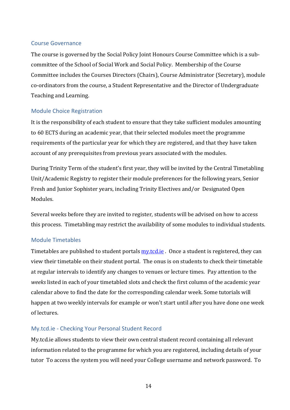# <span id="page-13-0"></span>Course Governance

The course is governed by the Social Policy Joint Honours Course Committee which is a subcommittee of the School of Social Work and Social Policy. Membership of the Course Committee includes the Courses Directors (Chairs), Course Administrator (Secretary), module co-ordinators from the course, a Student Representative and the Director of Undergraduate Teaching and Learning.

#### <span id="page-13-1"></span>Module Choice Registration

It is the responsibility of each student to ensure that they take sufficient modules amounting to 60 ECTS during an academic year, that their selected modules meet the programme requirements of the particular year for which they are registered, and that they have taken account of any prerequisites from previous years associated with the modules.

During Trinity Term of the student's first year, they will be invited by the Central Timetabling Unit/Academic Registry to register their module preferences for the following years, Senior Fresh and Junior Sophister years, including Trinity Electives and/or Designated Open Modules.

Several weeks before they are invited to register, students will be advised on how to access this process. Timetabling may restrict the availability of some modules to individual students.

# <span id="page-13-2"></span>Module Timetables

Timetables are published to student portals **my.tcd.ie** 0nce a student is registered, they can view their timetable on their student portal. The onus is on students to check their timetable at regular intervals to identify any changes to venues or lecture times. Pay attention to the *weeks* listed in each of your timetabled slots and check the first column of the academic year calendar above to find the date for the corresponding calendar week. Some tutorials will happen at two weekly intervals for example or won't start until after you have done one week of lectures.

#### <span id="page-13-3"></span>My.tcd.ie - Checking Your Personal Student Record

My.tcd.ie allows students to view their own central student record containing all relevant information related to the programme for which you are registered, including details of your tutor To access the system you will need your College username and network password. To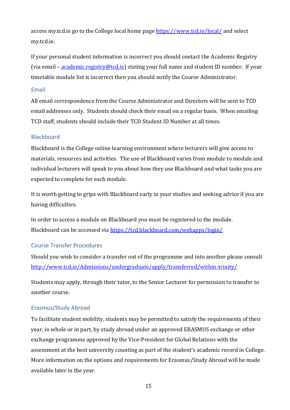access my.tcd.ie go to the College local home page<https://www.tcd.ie/local/> and select my.tcd.ie.

If your personal student information is incorrect you should contact the Academic Registry (via email – [academic.registry@tcd.ie\)](mailto:academic.registry@tcd.ie) stating your full name and student ID number. If your timetable module list is incorrect then you should notify the Course Administrator.

#### <span id="page-14-0"></span>Email

All email correspondence from the Course Administrator and Directors will be sent to TCD email addresses only. Students should check their email on a regular basis. When emailing TCD staff, students should include their TCD Student ID Number at all times.

#### <span id="page-14-1"></span>**Blackboard**

Blackboard is the College online learning environment where lecturers will give access to materials, resources and activities. The use of Blackboard varies from module to module and individual lecturers will speak to you about how they use Blackboard and what tasks you are expected to complete for each module.

It is worth getting to grips with Blackboard early in your studies and seeking advice if you are having difficulties.

In order to access a module on Blackboard you must be registered to the module. Blackboard can be accessed via<https://tcd.blackboard.com/webapps/login/>

#### <span id="page-14-2"></span>Course Transfer Procedures

Should you wish to consider a transfer out of the programme and into another please consult <http://www.tcd.ie/Admissions/undergraduate/apply/transferred/within-trinity/>

Students may apply, through their tutor, to the Senior Lecturer for permission to transfer to another course.

#### <span id="page-14-3"></span>Erasmus/Study Abroad

To facilitate student mobility, students may be permitted to satisfy the requirements of their year, in whole or in part, by study abroad under an approved ERASMUS exchange or other exchange programme approved by the Vice-President for Global Relations with the assessment at the host university counting as part of the student's academic record in College. More information on the options and requirements for Erasmus/Study Abroad will be made available later in the year.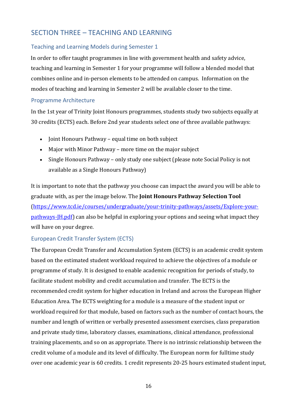# <span id="page-15-0"></span>SECTION THREE – TEACHING AND LEARNING

# <span id="page-15-1"></span>Teaching and Learning Models during Semester 1

In order to offer taught programmes in line with government health and safety advice, teaching and learning in Semester 1 for your programme will follow a blended model that combines online and in-person elements to be attended on campus. Information on the modes of teaching and learning in Semester 2 will be available closer to the time.

# <span id="page-15-2"></span>Programme Architecture

In the 1st year of Trinity Joint Honours programmes, students study two subjects equally at 30 credits (ECTS) each. Before 2nd year students select one of three available pathways:

- Joint Honours Pathway equal time on both subject
- Major with Minor Pathway more time on the major subject
- Single Honours Pathway only study one subject (please note Social Policy is not available as a Single Honours Pathway)

It is important to note that the pathway you choose can impact the award you will be able to graduate with, as per the image below. The **Joint Honours Pathway Selection Tool** [\(https://www.tcd.ie/courses/undergraduate/your-trinity-pathways/assets/Explore-your](https://www.tcd.ie/courses/undergraduate/your-trinity-pathways/assets/Explore-your-pathways-JH.pdf)[pathways-JH.pdf\)](https://www.tcd.ie/courses/undergraduate/your-trinity-pathways/assets/Explore-your-pathways-JH.pdf) can also be helpful in exploring your options and seeing what impact they will have on your degree.

# <span id="page-15-3"></span>European Credit Transfer System (ECTS)

The European Credit Transfer and Accumulation System (ECTS) is an academic credit system based on the estimated student workload required to achieve the objectives of a module or programme of study. It is designed to enable academic recognition for periods of study, to facilitate student mobility and credit accumulation and transfer. The ECTS is the recommended credit system for higher education in Ireland and across the European Higher Education Area. The ECTS weighting for a module is a measure of the student input or workload required for that module, based on factors such as the number of contact hours, the number and length of written or verbally presented assessment exercises, class preparation and private study time, laboratory classes, examinations, clinical attendance, professional training placements, and so on as appropriate. There is no intrinsic relationship between the credit volume of a module and its level of difficulty. The European norm for fulltime study over one academic year is 60 credits. 1 credit represents 20-25 hours estimated student input,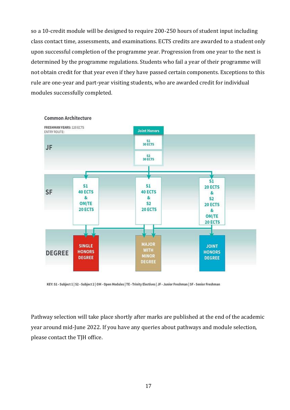so a 10-credit module will be designed to require 200-250 hours of student input including class contact time, assessments, and examinations. ECTS credits are awarded to a student only upon successful completion of the programme year. Progression from one year to the next is determined by the programme regulations. Students who fail a year of their programme will not obtain credit for that year even if they have passed certain components. Exceptions to this rule are one-year and part-year visiting students, who are awarded credit for individual modules successfully completed.



**Common Architecture** 

KEY: S1 - Subject 1 | S2 - Subject 2 | OM - Open Modules | TE - Trinity Electives | JF - Junior Freshman | SF - Senior Freshman

Pathway selection will take place shortly after marks are published at the end of the academic year around mid-June 2022. If you have any queries about pathways and module selection, please contact the TJH office.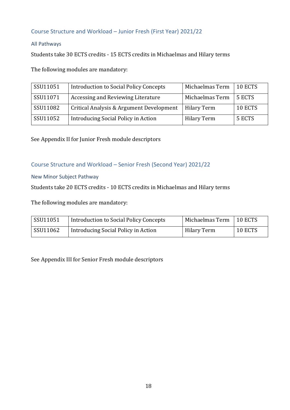# <span id="page-17-0"></span>Course Structure and Workload – Junior Fresh (First Year) 2021/22

# All Pathways

Students take 30 ECTS credits - 15 ECTS credits in Michaelmas and Hilary terms

The following modules are mandatory:

| SSU11051 | <b>Introduction to Social Policy Concepts</b> | Michaelmas Term    | 10 ECTS |
|----------|-----------------------------------------------|--------------------|---------|
| SSU11071 | Accessing and Reviewing Literature            | Michaelmas Term    | 5 ECTS  |
| SSU11082 | Critical Analysis & Argument Development      | <b>Hilary Term</b> | 10 ECTS |
| SSU11052 | Introducing Social Policy in Action           | <b>Hilary Term</b> | 5 ECTS  |

See Appendix II for Junior Fresh module descriptors

# <span id="page-17-1"></span>Course Structure and Workload – Senior Fresh (Second Year) 2021/22

#### New Minor Subject Pathway

Students take 20 ECTS credits - 10 ECTS credits in Michaelmas and Hilary terms

The following modules are mandatory:

| SSU11051 | Introduction to Social Policy Concepts | Michaelmas Term | 10 ECTS |
|----------|----------------------------------------|-----------------|---------|
| SSU11062 | Introducing Social Policy in Action    | Hilary Term     | 10 ECTS |

See Appendix III for Senior Fresh module descriptors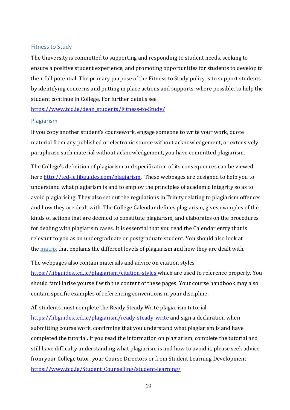#### <span id="page-18-0"></span>Fitness to Study

The University is committed to supporting and responding to student needs, seeking to ensure a positive student experience, and promoting opportunities for students to develop to their full potential. The primary purpose of the Fitness to Study policy is to support students by identifying concerns and putting in place actions and supports, where possible, to help the student continue in College. For further details see

[https://www.tcd.ie/dean\\_students/Fitness-to-Study/](https://www.tcd.ie/dean_students/Fitness-to-Study/)

#### <span id="page-18-1"></span>Plagiarism

If you copy another student's coursework, engage someone to write your work, quote material from any published or electronic source without acknowledgement, or extensively paraphrase such material without acknowledgement, you have committed plagiarism.

The College's definition of plagiarism and specification of its consequences can be viewed her[e http://tcd-ie.libguides.com/plagiarism.](http://tcd-ie.libguides.com/plagiarism) These webpages are designed to help you to understand what plagiarism is and to employ the principles of academic integrity so as to avoid plagiarising. They also set out the regulations in Trinity relating to plagiarism offences and how they are dealt with. The College Calendar defines plagiarism, gives examples of the kinds of actions that are deemed to constitute plagiarism, and elaborates on the procedures for dealing with plagiarism cases. It is essential that you read the Calendar entry that is relevant to you as an undergraduate or postgraduate student. You should also look at the [matrix](http://tcd-ie.libguides.com/plagiarism/levels-and-consequences#s-lg-box-wrapper-9089155) that explains the different levels of plagiarism and how they are dealt with.

The webpages also contain materials and advice on citation styles <https://libguides.tcd.ie/plagiarism/citation-styles> which are used to reference properly. You should familiarise yourself with the content of these pages. Your course handbook may also contain specific examples of referencing conventions in your discipline.

All students must complete the Ready Steady Write plagiarism tutorial <https://libguides.tcd.ie/plagiarism/ready-steady-write> and sign a [declaration](http://tcd-ie.libguides.com/plagiarism/declaration) when submitting course work, confirming that you understand what plagiarism is and have completed the tutorial**.** If you read the information on plagiarism, complete the tutorial and still have difficulty understanding what plagiarism is and how to avoid it, please seek advice from your College tutor, your Course Directors or from Student Learning Development [https://www.tcd.ie/Student\\_Counselling/student-learning/](https://www.tcd.ie/Student_Counselling/student-learning/)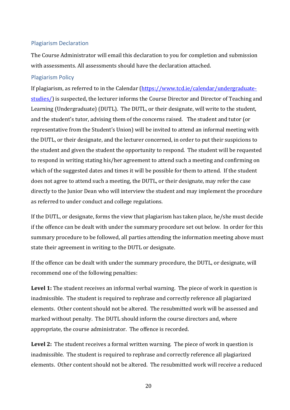#### <span id="page-19-0"></span>Plagiarism Declaration

The Course Administrator will email this declaration to you for completion and submission with assessments. All assessments should have the declaration attached.

#### <span id="page-19-1"></span>Plagiarism Policy

If plagiarism, as referred to in the Calendar [\(https://www.tcd.ie/calendar/undergraduate](https://www.tcd.ie/calendar/undergraduate-studies/)[studies/\)](https://www.tcd.ie/calendar/undergraduate-studies/) is suspected, the lecturer informs the Course Director and Director of Teaching and Learning (Undergraduate) (DUTL). The DUTL, or their designate, will write to the student, and the student's tutor, advising them of the concerns raised. The student and tutor (or representative from the Student's Union) will be invited to attend an informal meeting with the DUTL, or their designate, and the lecturer concerned, in order to put their suspicions to the student and given the student the opportunity to respond. The student will be requested to respond in writing stating his/her agreement to attend such a meeting and confirming on which of the suggested dates and times it will be possible for them to attend. If the student does not agree to attend such a meeting, the DUTL, or their designate, may refer the case directly to the Junior Dean who will interview the student and may implement the procedure as referred to under conduct and college regulations.

If the DUTL, or designate, forms the view that plagiarism has taken place, he/she must decide if the offence can be dealt with under the summary procedure set out below. In order for this summary procedure to be followed, all parties attending the information meeting above must state their agreement in writing to the DUTL or designate.

If the offence can be dealt with under the summary procedure, the DUTL, or designate, will recommend one of the following penalties:

Level 1: The student receives an informal verbal warning. The piece of work in question is inadmissible. The student is required to rephrase and correctly reference all plagiarized elements. Other content should not be altered. The resubmitted work will be assessed and marked without penalty. The DUTL should inform the course directors and, where appropriate, the course administrator. The offence is recorded.

**Level 2:** The student receives a formal written warning. The piece of work in question is inadmissible. The student is required to rephrase and correctly reference all plagiarized elements. Other content should not be altered. The resubmitted work will receive a reduced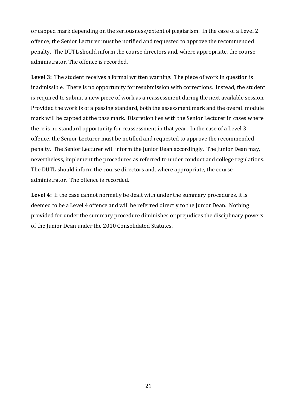or capped mark depending on the seriousness/extent of plagiarism. In the case of a Level 2 offence, the Senior Lecturer must be notified and requested to approve the recommended penalty. The DUTL should inform the course directors and, where appropriate, the course administrator. The offence is recorded.

**Level 3:** The student receives a formal written warning. The piece of work in question is inadmissible. There is no opportunity for resubmission with corrections. Instead, the student is required to submit a new piece of work as a reassessment during the next available session. Provided the work is of a passing standard, both the assessment mark and the overall module mark will be capped at the pass mark. Discretion lies with the Senior Lecturer in cases where there is no standard opportunity for reassessment in that year. In the case of a Level 3 offence, the Senior Lecturer must be notified and requested to approve the recommended penalty. The Senior Lecturer will inform the Junior Dean accordingly. The Junior Dean may, nevertheless, implement the procedures as referred to under conduct and college regulations. The DUTL should inform the course directors and, where appropriate, the course administrator. The offence is recorded.

**Level 4:** If the case cannot normally be dealt with under the summary procedures, it is deemed to be a Level 4 offence and will be referred directly to the Junior Dean. Nothing provided for under the summary procedure diminishes or prejudices the disciplinary powers of the Junior Dean under the 2010 Consolidated Statutes.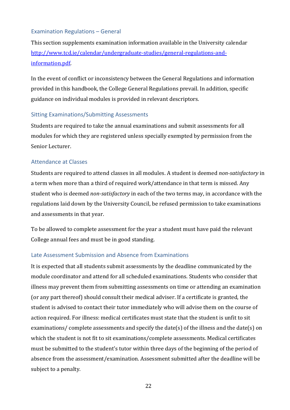# <span id="page-21-0"></span>Examination Regulations – General

This section supplements examination information available in the University calendar [http://www.tcd.ie/calendar/undergraduate-studies/general-regulations-and](http://www.tcd.ie/calendar/undergraduate-studies/general-regulations-and-information.pdf)[information.pdf.](http://www.tcd.ie/calendar/undergraduate-studies/general-regulations-and-information.pdf)

In the event of conflict or inconsistency between the General Regulations and information provided in this handbook, the College General Regulations prevail. In addition, specific guidance on individual modules is provided in relevant descriptors.

#### <span id="page-21-1"></span>Sitting Examinations/Submitting Assessments

Students are required to take the annual examinations and submit assessments for all modules for which they are registered unless specially exempted by permission from the Senior Lecturer.

#### <span id="page-21-2"></span>Attendance at Classes

Students are required to attend classes in all modules. A student is deemed *non-satisfactory* in a term when more than a third of required work/attendance in that term is missed. Any student who is deemed *non-satisfactory* in each of the two terms may, in accordance with the regulations laid down by the University Council, be refused permission to take examinations and assessments in that year.

To be allowed to complete assessment for the year a student must have paid the relevant College annual fees and must be in good standing.

#### <span id="page-21-3"></span>Late Assessment Submission and Absence from Examinations

It is expected that all students submit assessments by the deadline communicated by the module coordinator and attend for all scheduled examinations. Students who consider that illness may prevent them from submitting assessments on time or attending an examination (or any part thereof) should consult their medical adviser. If a certificate is granted, the student is advised to contact their tutor immediately who will advise them on the course of action required. For illness: medical certificates must state that the student is unfit to sit examinations/ complete assessments and specify the date(s) of the illness and the date(s) on which the student is not fit to sit examinations/complete assessments. Medical certificates must be submitted to the student's tutor within three days of the beginning of the period of absence from the assessment/examination. Assessment submitted after the deadline will be subject to a penalty.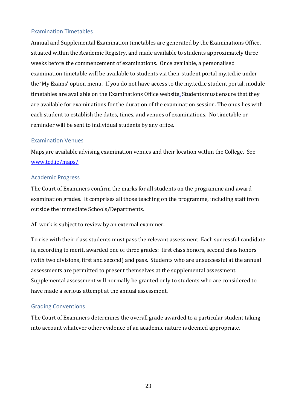# <span id="page-22-0"></span>Examination Timetables

Annual and Supplemental Examination timetables are generated by the Examinations Office, situated within the Academic Registry, and made available to students approximately three weeks before the commencement of examinations. Once available, a personalised examination timetable will be available to students via their student portal my.tcd.ie under the 'My Exams' option menu. If you do not have access to the my.tcd.ie student portal, module timetables are available on the Examinations Office website. Students must ensure that they are available for examinations for the duration of the examination session. The onus lies with each student to establish the dates, times, and venues of examinations. No timetable or reminder will be sent to individual students by any office.

#### <span id="page-22-1"></span>Examination Venues

Maps are available advising examination venues and their location within the College. See [www.tcd.ie/maps/](http://www.tcd.ie/maps/)

#### <span id="page-22-2"></span>Academic Progress

The Court of Examiners confirm the marks for all students on the programme and award examination grades. It comprises all those teaching on the programme, including staff from outside the immediate Schools/Departments.

All work is subject to review by an external examiner.

To rise with their class students must pass the relevant assessment. Each successful candidate is, according to merit, awarded one of three grades: first class honors, second class honors (with two divisions, first and second) and pass. Students who are unsuccessful at the annual assessments are permitted to present themselves at the supplemental assessment. Supplemental assessment will normally be granted only to students who are considered to have made a serious attempt at the annual assessment.

# <span id="page-22-3"></span>Grading Conventions

The Court of Examiners determines the overall grade awarded to a particular student taking into account whatever other evidence of an academic nature is deemed appropriate.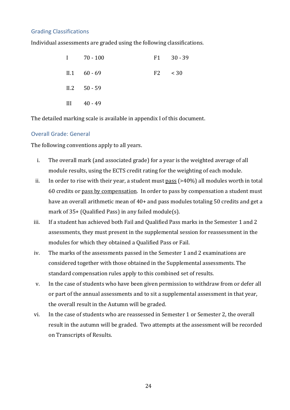#### <span id="page-23-0"></span>Grading Classifications

Individual assessments are graded using the following classifications.

|     | $1 \t 70 - 100$   | F1 30 - 39  |
|-----|-------------------|-------------|
|     | $II.1 \t 60 - 69$ | $F2 \t< 30$ |
|     | $II.2$ 50 - 59    |             |
| III | 40 - 49           |             |

The detailed marking scale is available in appendix I of this document.

#### <span id="page-23-1"></span>Overall Grade: General

The following conventions apply to all years.

- i. The overall mark (and associated grade) for a year is the weighted average of all module results, using the ECTS credit rating for the weighting of each module.
- ii. In order to rise with their year, a student must  $_{2.00}$  (>40%) all modules worth in total 60 credits or pass by compensation. In order to pass by compensation a student must have an overall arithmetic mean of 40+ and pass modules totaling 50 credits and get a mark of 35+ (Qualified Pass) in any failed module(s).
- iii. If a student has achieved both Fail and Qualified Pass marks in the Semester 1 and 2 assessments, they must present in the supplemental session for reassessment in the modules for which they obtained a Qualified Pass or Fail.
- iv. The marks of the assessments passed in the Semester 1 and 2 examinations are considered together with those obtained in the Supplemental assessments. The standard compensation rules apply to this combined set of results.
- v. In the case of students who have been given permission to withdraw from or defer all or part of the annual assessments and to sit a supplemental assessment in that year, the overall result in the Autumn will be graded.
- vi. In the case of students who are reassessed in Semester 1 or Semester 2, the overall result in the autumn will be graded. Two attempts at the assessment will be recorded on Transcripts of Results.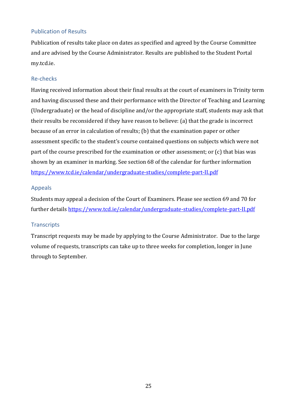# <span id="page-24-0"></span>Publication of Results

Publication of results take place on dates as specified and agreed by the Course Committee and are advised by the Course Administrator. Results are published to the Student Portal my.tcd.ie.

# <span id="page-24-1"></span>Re-checks

Having received information about their final results at the court of examiners in Trinity term and having discussed these and their performance with the Director of Teaching and Learning (Undergraduate) or the head of discipline and/or the appropriate staff, students may ask that their results be reconsidered if they have reason to believe: (a) that the grade is incorrect because of an error in calculation of results; (b) that the examination paper or other assessment specific to the student's course contained questions on subjects which were not part of the course prescribed for the examination or other assessment; or (c) that bias was shown by an examiner in marking. See section 68 of the calendar for further information <https://www.tcd.ie/calendar/undergraduate-studies/complete-part-II.pdf>

# <span id="page-24-2"></span>Appeals

Students may appeal a decision of the Court of Examiners. Please see section 69 and 70 for further details<https://www.tcd.ie/calendar/undergraduate-studies/complete-part-II.pdf>

# <span id="page-24-3"></span>**Transcripts**

Transcript requests may be made by applying to the Course Administrator. Due to the large volume of requests, transcripts can take up to three weeks for completion, longer in June through to September*.*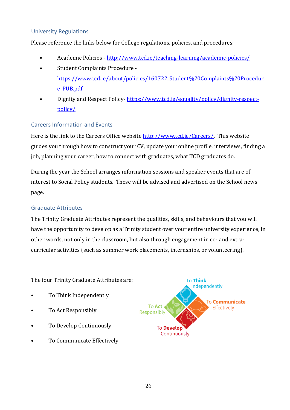# <span id="page-25-0"></span>University Regulations

Please reference the links below for College regulations, policies, and procedures:

- Academic Policies <http://www.tcd.ie/teaching-learning/academic-policies/>
- Student Complaints Procedure [https://www.tcd.ie/about/policies/160722\\_Student%20Complaints%20Procedur](https://www.tcd.ie/about/policies/160722_Student%20Complaints%20Procedure_PUB.pdf) [e\\_PUB.pdf](https://www.tcd.ie/about/policies/160722_Student%20Complaints%20Procedure_PUB.pdf)
- Dignity and Respect Policy- [https://www.tcd.ie/equality/policy/dignity-respect](https://www.tcd.ie/equality/policy/dignity-respect-policy/)[policy/](https://www.tcd.ie/equality/policy/dignity-respect-policy/)

# <span id="page-25-1"></span>Careers Information and Events

Here is the link to the Careers Office website [http://www.tcd.ie/Careers/.](http://www.tcd.ie/Careers/) This website guides you through how to construct your CV, update your online profile, interviews, finding a job, planning your career, how to connect with graduates, what TCD graduates do.

During the year the School arranges information sessions and speaker events that are of interest to Social Policy students. These will be advised and advertised on the School news page.

# <span id="page-25-2"></span>Graduate Attributes

The Trinity Graduate Attributes represent the qualities, skills, and behaviours that you will have the opportunity to develop as a Trinity student over your entire university experience, in other words, not only in the classroom, but also through engagement in co- and extracurricular activities (such as summer work placements, internships, or volunteering).

The four Trinity Graduate Attributes are:

- To Think Independently
- To Act Responsibly
- To Develop Continuously
- To Communicate Effectively

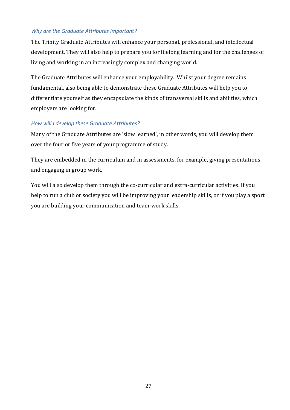#### *Why are the Graduate Attributes important?*

The Trinity Graduate Attributes will enhance your personal, professional, and intellectual development. They will also help to prepare you for lifelong learning and for the challenges of living and working in an increasingly complex and changing world.

The Graduate Attributes will enhance your employability. Whilst your degree remains fundamental, also being able to demonstrate these Graduate Attributes will help you to differentiate yourself as they encapsulate the kinds of transversal skills and abilities, which employers are looking for.

#### *How will I develop these Graduate Attributes?*

Many of the Graduate Attributes are 'slow learned', in other words, you will develop them over the four or five years of your programme of study.

They are embedded in the curriculum and in assessments, for example, giving presentations and engaging in group work.

You will also develop them through the co-curricular and extra-curricular activities. If you help to run a club or society you will be improving your leadership skills, or if you play a sport you are building your communication and team-work skills.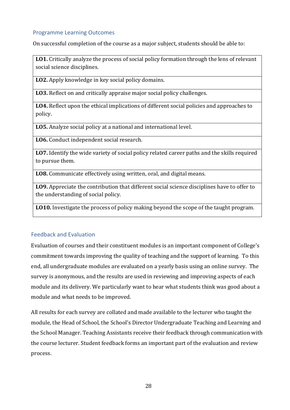#### <span id="page-27-0"></span>Programme Learning Outcomes

On successful completion of the course as a major subject, students should be able to:

**LO1.** Critically analyze the process of social policy formation through the lens of relevant social science disciplines.

**LO2.** Apply knowledge in key social policy domains.

**LO3.** Reflect on and critically appraise major social policy challenges.

**LO4.** Reflect upon the ethical implications of different social policies and approaches to policy.

**LO5.** Analyze social policy at a national and international level.

**LO6.** Conduct independent social research.

**LO7.** Identify the wide variety of social policy related career paths and the skills required to pursue them.

**LO8.** Communicate effectively using written, oral, and digital means.

**LO9.** Appreciate the contribution that different social science disciplines have to offer to the understanding of social policy.

**LO10.** Investigate the process of policy making beyond the scope of the taught program.

# <span id="page-27-1"></span>Feedback and Evaluation

Evaluation of courses and their constituent modules is an important component of College's commitment towards improving the quality of teaching and the support of learning. To this end, all undergraduate modules are evaluated on a yearly basis using an online survey. The survey is anonymous, and the results are used in reviewing and improving aspects of each module and its delivery. We particularly want to hear what students think was good about a module and what needs to be improved.

All results for each survey are collated and made available to the lecturer who taught the module, the Head of School, the School's Director Undergraduate Teaching and Learning and the School Manager. Teaching Assistants receive their feedback through communication with the course lecturer. Student feedback forms an important part of the evaluation and review process.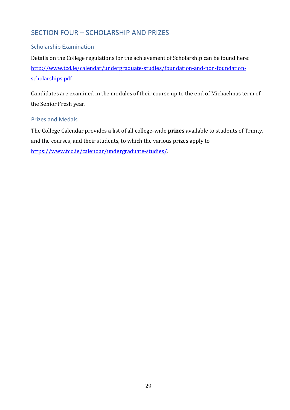# <span id="page-28-0"></span>SECTION FOUR – SCHOLARSHIP AND PRIZES

# <span id="page-28-1"></span>Scholarship Examination

Details on the College regulations for the achievement of Scholarship can be found here: [http://www.tcd.ie/calendar/undergraduate-studies/foundation-and-non-foundation](http://www.tcd.ie/calendar/undergraduate-studies/foundation-and-non-foundation-scholarships.pdf)[scholarships.pdf](http://www.tcd.ie/calendar/undergraduate-studies/foundation-and-non-foundation-scholarships.pdf)

Candidates are examined in the modules of their course up to the end of Michaelmas term of the Senior Fresh year.

#### <span id="page-28-2"></span>Prizes and Medals

The College Calendar provides a list of all college-wide **prizes** available to students of Trinity, and the courses, and their students, to which the various prizes apply to [https://www.tcd.ie/calendar/undergraduate-studies/.](https://www.tcd.ie/calendar/undergraduate-studies/)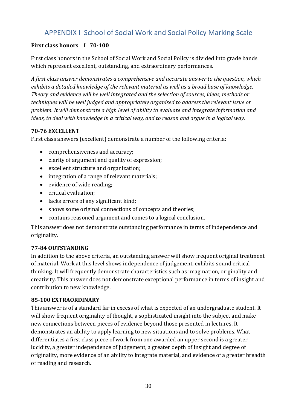# APPENDIX I School of Social Work and Social Policy Marking Scale

# <span id="page-29-0"></span>**First class honors I 70-100**

First class honors in the School of Social Work and Social Policy is divided into grade bands which represent excellent, outstanding, and extraordinary performances.

*A first class answer demonstrates a comprehensive and accurate answer to the question, which exhibits a detailed knowledge of the relevant material as well as a broad base of knowledge. Theory and evidence will be well integrated and the selection of sources, ideas, methods or techniques will be well judged and appropriately organised to address the relevant issue or problem. It will demonstrate a high level of ability to evaluate and integrate information and ideas, to deal with knowledge in a critical way, and to reason and argue in a logical way.* 

# **70-76 EXCELLENT**

First class answers (excellent) demonstrate a number of the following criteria:

- comprehensiveness and accuracy;
- clarity of argument and quality of expression;
- excellent structure and organization;
- integration of a range of relevant materials;
- evidence of wide reading;
- critical evaluation;
- lacks errors of any significant kind;
- shows some original connections of concepts and theories;
- contains reasoned argument and comes to a logical conclusion.

This answer does not demonstrate outstanding performance in terms of independence and originality.

# **77-84 OUTSTANDING**

In addition to the above criteria, an outstanding answer will show frequent original treatment of material. Work at this level shows independence of judgement, exhibits sound critical thinking. It will frequently demonstrate characteristics such as imagination, originality and creativity. This answer does not demonstrate exceptional performance in terms of insight and contribution to new knowledge.

# **85-100 EXTRAORDINARY**

This answer is of a standard far in excess of what is expected of an undergraduate student. It will show frequent originality of thought, a sophisticated insight into the subject and make new connections between pieces of evidence beyond those presented in lectures. It demonstrates an ability to apply learning to new situations and to solve problems. What differentiates a first class piece of work from one awarded an upper second is a greater lucidity, a greater independence of judgement, a greater depth of insight and degree of originality, more evidence of an ability to integrate material, and evidence of a greater breadth of reading and research.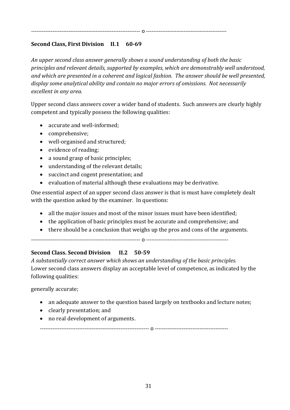#### ------------------------------------------------------------- o ---------------------------------------------

#### **Second Class, First Division II.1 60-69**

*An upper second class answer generally shows a sound understanding of both the basic principles and relevant details, supported by examples, which are demonstrably well understood, and which are presented in a coherent and logical fashion. The answer should be well presented, display some analytical ability and contain no major errors of omissions. Not necessarily excellent in any area.*

Upper second class answers cover a wider band of students. Such answers are clearly highly competent and typically possess the following qualities:

- accurate and well-informed;
- comprehensive;
- well-organised and structured;
- evidence of reading;
- a sound grasp of basic principles;
- understanding of the relevant details;
- succinct and cogent presentation; and
- evaluation of material although these evaluations may be derivative.

One essential aspect of an upper second class answer is that is must have completely dealt with the question asked by the examiner. In questions:

- all the major issues and most of the minor issues must have been identified;
- the application of basic principles must be accurate and comprehensive; and
- there should be a conclusion that weighs up the pros and cons of the arguments.

------------------------------------------------------------- o ----------------------------------------------

# **Second Class. Second Division II.2 50-59**

*A substantially correct answer which shows an understanding of the basic principles.* Lower second class answers display an acceptable level of competence, as indicated by the following qualities:

generally accurate;

- an adequate answer to the question based largely on textbooks and lecture notes;
- clearly presentation; and
- no real development of arguments.

------------------------------------------------------------- o -----------------------------------------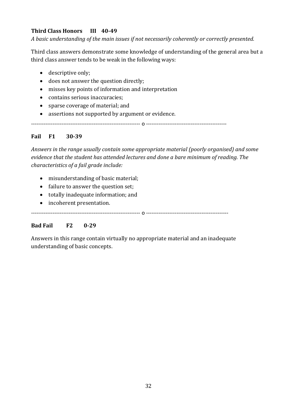# **Third Class Honors III 40-49**

*A basic understanding of the main issues if not necessarily coherently or correctly presented.*

Third class answers demonstrate some knowledge of understanding of the general area but a third class answer tends to be weak in the following ways:

- descriptive only;
- does not answer the question directly;
- misses key points of information and interpretation
- contains serious inaccuracies;
- sparse coverage of material; and
- assertions not supported by argument or evidence.

------------------------------------------------------------- o ---------------------------------------------

# **Fail F1 30-39**

*Answers in the range usually contain some appropriate material (poorly organised) and some evidence that the student has attended lectures and done a bare minimum of reading. The characteristics of a fail grade include:*

- misunderstanding of basic material;
- failure to answer the question set;
- totally inadequate information; and
- incoherent presentation.

------------------------------------------------------------- o ----------------------------------------------

# **Bad Fail F2 0-29**

Answers in this range contain virtually no appropriate material and an inadequate understanding of basic concepts.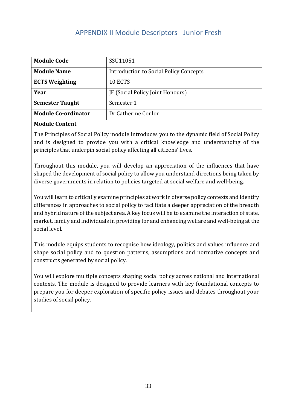# APPENDIX II Module Descriptors - Junior Fresh

<span id="page-32-0"></span>

| <b>Module Code</b>         | SSU11051                                      |
|----------------------------|-----------------------------------------------|
| <b>Module Name</b>         | <b>Introduction to Social Policy Concepts</b> |
| <b>ECTS Weighting</b>      | 10 ECTS                                       |
| Year                       | JF (Social Policy Joint Honours)              |
| <b>Semester Taught</b>     | Semester 1                                    |
| <b>Module Co-ordinator</b> | Dr Catherine Conlon                           |

#### **Module Content**

The Principles of Social Policy module introduces you to the dynamic field of Social Policy and is designed to provide you with a critical knowledge and understanding of the principles that underpin social policy affecting all citizens' lives.

Throughout this module, you will develop an appreciation of the influences that have shaped the development of social policy to allow you understand directions being taken by diverse governments in relation to policies targeted at social welfare and well-being.

You will learn to critically examine principles at work in diverse policy contexts and identify differences in approaches to social policy to facilitate a deeper appreciation of the breadth and hybrid nature of the subject area. A key focus will be to examine the interaction of state, market, family and individuals in providing for and enhancing welfare and well-being at the social level.

This module equips students to recognise how ideology, politics and values influence and shape social policy and to question patterns, assumptions and normative concepts and constructs generated by social policy.

You will explore multiple concepts shaping social policy across national and international contexts. The module is designed to provide learners with key foundational concepts to prepare you for deeper exploration of specific policy issues and debates throughout your studies of social policy.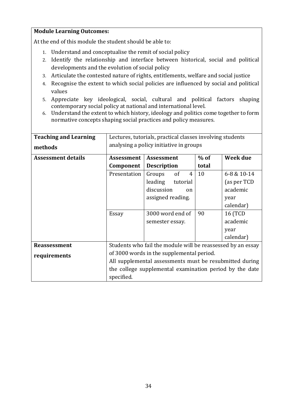#### **Module Learning Outcomes:**

At the end of this module the student should be able to:

- 1. Understand and conceptualise the remit of social policy
- 2. Identify the relationship and interface between historical, social and political developments and the evolution of social policy
- 3. Articulate the contested nature of rights, entitlements, welfare and social justice
- 4. Recognise the extent to which social policies are influenced by social and political values
- 5. Appreciate key ideological, social, cultural and political factors shaping contemporary social policy at national and international level.
- 6. Understand the extent to which history, ideology and politics come together to form normative concepts shaping social practices and policy measures.

| <b>Teaching and Learning</b><br>methods | Lectures, tutorials, practical classes involving students<br>analysing a policy initiative in groups |                                                             |        |                 |
|-----------------------------------------|------------------------------------------------------------------------------------------------------|-------------------------------------------------------------|--------|-----------------|
| <b>Assessment details</b>               | <b>Assessment</b>                                                                                    | Assessment                                                  | $%$ of | Week due        |
|                                         | Component                                                                                            | <b>Description</b>                                          | total  |                 |
|                                         | Presentation                                                                                         | <sub>of</sub><br>Groups<br>4                                | 10     | 6-8 & 10-14     |
|                                         |                                                                                                      | leading<br>tutorial                                         |        | (as per TCD     |
|                                         |                                                                                                      | discussion<br>on                                            |        | academic        |
|                                         |                                                                                                      | assigned reading.                                           |        | year            |
|                                         |                                                                                                      |                                                             |        | calendar)       |
|                                         | Essay                                                                                                | 3000 word end of                                            | 90     | <b>16 (TCD)</b> |
|                                         |                                                                                                      | semester essay.                                             |        | academic        |
|                                         |                                                                                                      |                                                             |        | year            |
|                                         |                                                                                                      |                                                             |        | calendar)       |
| <b>Reassessment</b>                     |                                                                                                      | Students who fail the module will be reassessed by an essay |        |                 |
| requirements                            |                                                                                                      | of 3000 words in the supplemental period.                   |        |                 |
|                                         | All supplemental assessments must be resubmitted during                                              |                                                             |        |                 |
|                                         |                                                                                                      | the college supplemental examination period by the date     |        |                 |
|                                         | specified.                                                                                           |                                                             |        |                 |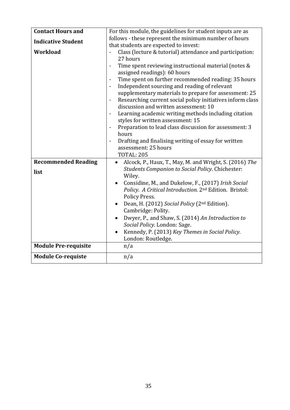| <b>Contact Hours and</b>    | For this module, the guidelines for student inputs are as                                                                                                                                                                                                                                                                                                                                                                                                                                                                                                                                                                                          |
|-----------------------------|----------------------------------------------------------------------------------------------------------------------------------------------------------------------------------------------------------------------------------------------------------------------------------------------------------------------------------------------------------------------------------------------------------------------------------------------------------------------------------------------------------------------------------------------------------------------------------------------------------------------------------------------------|
| <b>Indicative Student</b>   | follows - these represent the minimum number of hours                                                                                                                                                                                                                                                                                                                                                                                                                                                                                                                                                                                              |
|                             | that students are expected to invest:                                                                                                                                                                                                                                                                                                                                                                                                                                                                                                                                                                                                              |
| Workload                    | Class (lecture & tutorial) attendance and participation:<br>27 hours<br>Time spent reviewing instructional material (notes &<br>assigned readings): 60 hours<br>Time spent on further recommended reading: 35 hours<br>Independent sourcing and reading of relevant<br>$\overline{\phantom{a}}$<br>supplementary materials to prepare for assessment: 25<br>Researching current social policy initiatives inform class<br>$\overline{\phantom{a}}$<br>discussion and written assessment: 10<br>Learning academic writing methods including citation<br>styles for written assessment: 15<br>Preparation to lead class discussion for assessment: 3 |
|                             | hours                                                                                                                                                                                                                                                                                                                                                                                                                                                                                                                                                                                                                                              |
|                             | Drafting and finalising writing of essay for written<br>$\overline{\phantom{a}}$                                                                                                                                                                                                                                                                                                                                                                                                                                                                                                                                                                   |
|                             | assessment: 25 hours                                                                                                                                                                                                                                                                                                                                                                                                                                                                                                                                                                                                                               |
|                             | <b>TOTAL: 205</b>                                                                                                                                                                                                                                                                                                                                                                                                                                                                                                                                                                                                                                  |
| <b>Recommended Reading</b>  | Alcock, P., Haux, T., May, M. and Wright, S. (2016) The                                                                                                                                                                                                                                                                                                                                                                                                                                                                                                                                                                                            |
| list                        | <b>Students Companion to Social Policy. Chichester:</b>                                                                                                                                                                                                                                                                                                                                                                                                                                                                                                                                                                                            |
|                             | Wiley.                                                                                                                                                                                                                                                                                                                                                                                                                                                                                                                                                                                                                                             |
|                             | Considine, M., and Dukelow, F., (2017) Irish Social<br>$\bullet$<br>Policy. A Critical Introduction. 2nd Edition. Bristol:<br>Policy Press.                                                                                                                                                                                                                                                                                                                                                                                                                                                                                                        |
|                             | Dean, H. (2012) Social Policy (2 <sup>nd</sup> Edition).<br>Cambridge: Polity.                                                                                                                                                                                                                                                                                                                                                                                                                                                                                                                                                                     |
|                             | Dwyer, P., and Shaw, S. (2014) An Introduction to<br>$\bullet$<br>Social Policy. London: Sage.<br>Kennedy, P. (2013) Key Themes in Social Policy.<br>London: Routledge.                                                                                                                                                                                                                                                                                                                                                                                                                                                                            |
| <b>Module Pre-requisite</b> | n/a                                                                                                                                                                                                                                                                                                                                                                                                                                                                                                                                                                                                                                                |
| <b>Module Co-requiste</b>   | n/a                                                                                                                                                                                                                                                                                                                                                                                                                                                                                                                                                                                                                                                |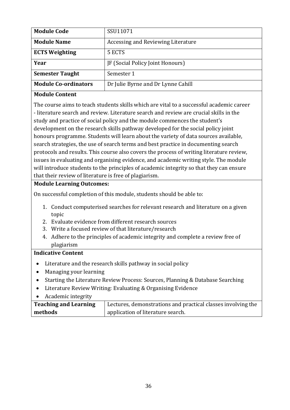| <b>Module Code</b>          | SSU11071                           |
|-----------------------------|------------------------------------|
| <b>Module Name</b>          | Accessing and Reviewing Literature |
| <b>ECTS Weighting</b>       | 5 ECTS                             |
| Year                        | JF (Social Policy Joint Honours)   |
| <b>Semester Taught</b>      | Semester 1                         |
| <b>Module Co-ordinators</b> | Dr Julie Byrne and Dr Lynne Cahill |

# **Module Content**

The course aims to teach students skills which are vital to a successful academic career - literature search and review. Literature search and review are crucial skills in the study and practice of social policy and the module commences the student's development on the research skills pathway developed for the social policy joint honours programme. Students will learn about the variety of data sources available, search strategies, the use of search terms and best practice in documenting search protocols and results. This course also covers the process of writing literature review, issues in evaluating and organising evidence, and academic writing style. The module will introduce students to the principles of academic integrity so that they can ensure that their review of literature is free of plagiarism.

# **Module Learning Outcomes:**

On successful completion of this module, students should be able to:

- 1. Conduct computerised searches for relevant research and literature on a given topic
- 2. Evaluate evidence from different research sources
- 3. Write a focused review of that literature/research
- 4. Adhere to the principles of academic integrity and complete a review free of plagiarism

# **Indicative Content**

- Literature and the research skills pathway in social policy
- Managing your learning
- Starting the Literature Review Process: Sources, Planning & Database Searching
- Literature Review Writing: Evaluating & Organising Evidence
- Academic integrity

| <b>Teaching and Learning</b> | Lectures, demonstrations and practical classes involving the |
|------------------------------|--------------------------------------------------------------|
| methods                      | application of literature search.                            |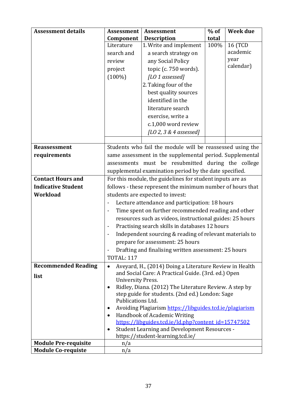| <b>Assessment details</b>   | <b>Assessment</b>                                                | <b>Assessment</b>                                          | $%$ of | <b>Week due</b> |
|-----------------------------|------------------------------------------------------------------|------------------------------------------------------------|--------|-----------------|
|                             | Component                                                        | <b>Description</b>                                         | total  |                 |
|                             | Literature                                                       | 1. Write and implement                                     | 100%   | 16 (TCD         |
|                             | search and                                                       | a search strategy on                                       |        | academic        |
|                             | review                                                           | any Social Policy                                          |        | year            |
|                             | project                                                          | topic (c. 750 words).                                      |        | calendar)       |
|                             | $(100\%)$                                                        | [LO 1 assessed]                                            |        |                 |
|                             |                                                                  | 2. Taking four of the                                      |        |                 |
|                             |                                                                  | best quality sources                                       |        |                 |
|                             |                                                                  | identified in the                                          |        |                 |
|                             |                                                                  | literature search                                          |        |                 |
|                             |                                                                  | exercise, write a                                          |        |                 |
|                             |                                                                  | c.1,000 word review                                        |        |                 |
|                             |                                                                  | [LO 2, 3 & 4 assessed]                                     |        |                 |
|                             |                                                                  |                                                            |        |                 |
| <b>Reassessment</b>         |                                                                  | Students who fail the module will be reassessed using the  |        |                 |
| requirements                |                                                                  | same assessment in the supplemental period. Supplemental   |        |                 |
|                             |                                                                  | assessments must be resubmitted during the college         |        |                 |
|                             |                                                                  | supplemental examination period by the date specified.     |        |                 |
| <b>Contact Hours and</b>    | For this module, the guidelines for student inputs are as        |                                                            |        |                 |
| <b>Indicative Student</b>   |                                                                  | follows - these represent the minimum number of hours that |        |                 |
| <b>Workload</b>             |                                                                  | students are expected to invest:                           |        |                 |
|                             |                                                                  | Lecture attendance and participation: 18 hours             |        |                 |
|                             |                                                                  | Time spent on further recommended reading and other        |        |                 |
|                             |                                                                  | resources such as videos, instructional guides: 25 hours   |        |                 |
|                             | Practising search skills in databases 12 hours<br>$\blacksquare$ |                                                            |        |                 |
|                             | Independent sourcing & reading of relevant materials to          |                                                            |        |                 |
|                             |                                                                  | prepare for assessment: 25 hours                           |        |                 |
|                             |                                                                  | Drafting and finalising written assessment: 25 hours       |        |                 |
|                             | <b>TOTAL: 117</b>                                                |                                                            |        |                 |
| <b>Recommended Reading</b>  | $\bullet$                                                        | Aveyard, H., (2014) Doing a Literature Review in Health    |        |                 |
| list                        |                                                                  | and Social Care: A Practical Guide. (3rd. ed.) Open        |        |                 |
|                             | <b>University Press.</b>                                         |                                                            |        |                 |
|                             | $\bullet$                                                        | Ridley, Diana. (2012) The Literature Review. A step by     |        |                 |
|                             | Publications Ltd.                                                | step guide for students. (2nd ed.) London: Sage            |        |                 |
|                             | $\bullet$                                                        | Avoiding Plagiarism https://libguides.tcd.ie/plagiarism    |        |                 |
|                             | $\bullet$                                                        | Handbook of Academic Writing                               |        |                 |
|                             |                                                                  | https://libguides.tcd.ie/ld.php?content_id=15747502        |        |                 |
|                             | $\bullet$                                                        | <b>Student Learning and Development Resources -</b>        |        |                 |
|                             |                                                                  | https://student-learning.tcd.ie/                           |        |                 |
| <b>Module Pre-requisite</b> | n/a                                                              |                                                            |        |                 |
| <b>Module Co-requiste</b>   | n/a                                                              |                                                            |        |                 |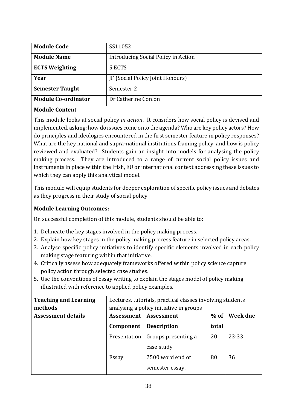| <b>Module Code</b>         | SS11052                             |
|----------------------------|-------------------------------------|
| <b>Module Name</b>         | Introducing Social Policy in Action |
| <b>ECTS Weighting</b>      | 5 ECTS                              |
| Year                       | JF (Social Policy Joint Honours)    |
| <b>Semester Taught</b>     | Semester 2                          |
| <b>Module Co-ordinator</b> | Dr Catherine Conlon                 |

#### **Module Content**

This module looks at social policy *in action*. It considers how social policy is devised and implemented, asking: how do issues come onto the agenda? Who are key policy actors? How do principles and ideologies encountered in the first semester feature in policy responses? What are the key national and supra-national institutions framing policy, and how is policy reviewed and evaluated? Students gain an insight into models for analysing the policy making process. They are introduced to a range of current social policy issues and instruments in place within the Irish, EU or international context addressing these issues to which they can apply this analytical model.

This module will equip students for deeper exploration of specific policy issues and debates as they progress in their study of social policy

# **Module Learning Outcomes:**

On successful completion of this module, students should be able to:

- 1. Delineate the key stages involved in the policy making process.
- 2. Explain how key stages in the policy making process feature in selected policy areas.
- 3. Analyse specific policy initiatives to identify specific elements involved in each policy making stage featuring within that initiative.
- 4. Critically assess how adequately frameworks offered within policy science capture policy action through selected case studies.
- 5. Use the conventions of essay writing to explain the stages model of policy making illustrated with reference to applied policy examples.

| <b>Teaching and Learning</b> | Lectures, tutorials, practical classes involving students |                                         |            |          |
|------------------------------|-----------------------------------------------------------|-----------------------------------------|------------|----------|
| methods                      |                                                           | analysing a policy initiative in groups |            |          |
| <b>Assessment details</b>    | Assessment                                                | Assessment                              | $%$ of $ $ | Week due |
|                              | Component                                                 | <b>Description</b>                      | total      |          |
|                              | Presentation                                              | Groups presenting a                     | 20         | 23-33    |
|                              |                                                           | case study                              |            |          |
|                              | Essay                                                     | 2500 word end of                        | 80         | 36       |
|                              |                                                           | semester essay.                         |            |          |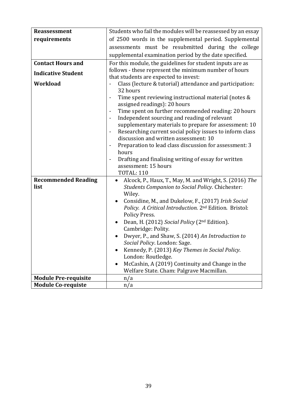| <b>Reassessment</b>         | Students who fail the modules will be reassessed by an essay                                                 |  |  |
|-----------------------------|--------------------------------------------------------------------------------------------------------------|--|--|
| requirements                | of 2500 words in the supplemental period. Supplemental                                                       |  |  |
|                             | assessments must be resubmitted during the college                                                           |  |  |
|                             | supplemental examination period by the date specified.                                                       |  |  |
| <b>Contact Hours and</b>    | For this module, the guidelines for student inputs are as                                                    |  |  |
|                             | follows - these represent the minimum number of hours                                                        |  |  |
| <b>Indicative Student</b>   | that students are expected to invest:                                                                        |  |  |
| <b>Workload</b>             | Class (lecture & tutorial) attendance and participation:                                                     |  |  |
|                             | 32 hours                                                                                                     |  |  |
|                             | Time spent reviewing instructional material (notes &<br>$\qquad \qquad \blacksquare$                         |  |  |
|                             | assigned readings): 20 hours                                                                                 |  |  |
|                             | Time spent on further recommended reading: 20 hours<br>$\qquad \qquad \blacksquare$                          |  |  |
|                             | Independent sourcing and reading of relevant<br>$\qquad \qquad \blacksquare$                                 |  |  |
|                             | supplementary materials to prepare for assessment: 10                                                        |  |  |
|                             | Researching current social policy issues to inform class<br>$\blacksquare$                                   |  |  |
|                             | discussion and written assessment: 10                                                                        |  |  |
|                             | Preparation to lead class discussion for assessment: 3<br>$\blacksquare$                                     |  |  |
|                             | hours                                                                                                        |  |  |
|                             | Drafting and finalising writing of essay for written<br>$\qquad \qquad \blacksquare$<br>assessment: 15 hours |  |  |
|                             | <b>TOTAL: 110</b>                                                                                            |  |  |
| <b>Recommended Reading</b>  | Alcock, P., Haux, T., May, M. and Wright, S. (2016) The<br>$\bullet$                                         |  |  |
| list                        | <b>Students Companion to Social Policy. Chichester:</b>                                                      |  |  |
|                             | Wiley.                                                                                                       |  |  |
|                             | Considine, M., and Dukelow, F., (2017) Irish Social                                                          |  |  |
|                             | Policy. A Critical Introduction. 2nd Edition. Bristol:                                                       |  |  |
|                             | Policy Press.                                                                                                |  |  |
|                             | Dean, H. (2012) Social Policy (2 <sup>nd</sup> Edition).<br>٠                                                |  |  |
|                             | Cambridge: Polity.                                                                                           |  |  |
|                             | Dwyer, P., and Shaw, S. (2014) An Introduction to                                                            |  |  |
|                             | Social Policy. London: Sage                                                                                  |  |  |
|                             | Kennedy, P. (2013) Key Themes in Social Policy.                                                              |  |  |
|                             | London: Routledge.                                                                                           |  |  |
|                             | McCashin, A (2019) Continuity and Change in the<br>$\bullet$                                                 |  |  |
|                             | Welfare State. Cham: Palgrave Macmillan.                                                                     |  |  |
| <b>Module Pre-requisite</b> | n/a                                                                                                          |  |  |
| <b>Module Co-requiste</b>   | n/a                                                                                                          |  |  |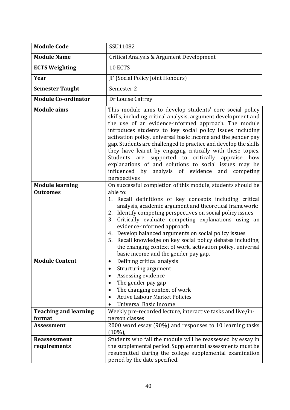| <b>Module Code</b>                        | SSU11082                                                                                                                                                                                                                                                                                                                                                                                                                                                                                                                                                                                                                                   |  |
|-------------------------------------------|--------------------------------------------------------------------------------------------------------------------------------------------------------------------------------------------------------------------------------------------------------------------------------------------------------------------------------------------------------------------------------------------------------------------------------------------------------------------------------------------------------------------------------------------------------------------------------------------------------------------------------------------|--|
| <b>Module Name</b>                        | Critical Analysis & Argument Development                                                                                                                                                                                                                                                                                                                                                                                                                                                                                                                                                                                                   |  |
| <b>ECTS Weighting</b>                     | 10 ECTS                                                                                                                                                                                                                                                                                                                                                                                                                                                                                                                                                                                                                                    |  |
| Year                                      | JF (Social Policy Joint Honours)                                                                                                                                                                                                                                                                                                                                                                                                                                                                                                                                                                                                           |  |
| <b>Semester Taught</b>                    | Semester 2                                                                                                                                                                                                                                                                                                                                                                                                                                                                                                                                                                                                                                 |  |
| <b>Module Co-ordinator</b>                | Dr Louise Caffrey                                                                                                                                                                                                                                                                                                                                                                                                                                                                                                                                                                                                                          |  |
| <b>Module aims</b>                        | This module aims to develop students' core social policy<br>skills, including critical analysis, argument development and<br>the use of an evidence-informed approach. The module<br>introduces students to key social policy issues including<br>activation policy, universal basic income and the gender pay<br>gap. Students are challenged to practice and develop the skills<br>they have learnt by engaging critically with these topics.<br>supported to critically appraise how<br>Students are<br>explanations of and solutions to social issues may be<br>influenced by analysis of evidence<br>and<br>competing<br>perspectives |  |
| <b>Module learning</b><br><b>Outcomes</b> | On successful completion of this module, students should be<br>able to:<br>1. Recall definitions of key concepts including critical<br>analysis, academic argument and theoretical framework:<br>2. Identify competing perspectives on social policy issues<br>Critically evaluate competing explanations using an<br>3.<br>evidence-informed approach<br>4. Develop balanced arguments on social policy issues<br>5. Recall knowledge on key social policy debates including,<br>the changing context of work, activation policy, universal<br>basic income and the gender pay gap.                                                       |  |
| <b>Module Content</b>                     | Defining critical analysis<br>Structuring argument<br>Assessing evidence<br>The gender pay gap<br>$\bullet$<br>The changing context of work<br><b>Active Labour Market Policies</b><br>$\bullet$<br><b>Universal Basic Income</b>                                                                                                                                                                                                                                                                                                                                                                                                          |  |
| <b>Teaching and learning</b><br>format    | Weekly pre-recorded lecture, interactive tasks and live/in-<br>person classes                                                                                                                                                                                                                                                                                                                                                                                                                                                                                                                                                              |  |
| <b>Assessment</b>                         | 2000 word essay (90%) and responses to 10 learning tasks<br>$(10\%)$                                                                                                                                                                                                                                                                                                                                                                                                                                                                                                                                                                       |  |
| <b>Reassessment</b><br>requirements       | Students who fail the module will be reassessed by essay in<br>the supplemental period. Supplemental assessments must be<br>resubmitted during the college supplemental examination<br>period by the date specified.                                                                                                                                                                                                                                                                                                                                                                                                                       |  |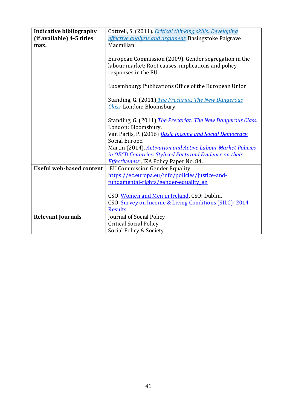| <b>Indicative bibliography</b>  | Cottrell, S. (2011). <i>Critical thinking skills: Developing</i>   |
|---------------------------------|--------------------------------------------------------------------|
| (if available) 4-5 titles       | effective analysis and argument. Basingstoke Palgrave              |
|                                 | Macmillan.                                                         |
| max.                            |                                                                    |
|                                 |                                                                    |
|                                 | European Commission (2009). Gender segregation in the              |
|                                 | labour market: Root causes, implications and policy                |
|                                 | responses in the EU.                                               |
|                                 |                                                                    |
|                                 | Luxembourg: Publications Office of the European Union              |
|                                 |                                                                    |
|                                 | Standing, G. (2011) The Precariat: The New Dangerous               |
|                                 | Class. London: Bloomsbury.                                         |
|                                 |                                                                    |
|                                 | Standing, G. (2011) <i>The Precariat: The New Dangerous Class.</i> |
|                                 | London: Bloomsbury.                                                |
|                                 | Van Parijs, P. (2016) Basic Income and Social Democracy.           |
|                                 | Social Europe.                                                     |
|                                 | Martin (2014), <b>Activation and Active Labour Market Policies</b> |
|                                 | in OECD Countries: Stylized Facts and Evidence on their            |
|                                 | Effectiveness, IZA Policy Paper No. 84.                            |
| <b>Useful web-based content</b> | <b>EU Commission Gender Equality</b>                               |
|                                 | https://ec.europa.eu/info/policies/justice-and-                    |
|                                 | fundamental-rights/gender-equality en                              |
|                                 |                                                                    |
|                                 | CSO Women and Men in Ireland. CSO: Dublin.                         |
|                                 | CSO Survey on Income & Living Conditions (SILC): 2014              |
|                                 | Results.                                                           |
|                                 |                                                                    |
| <b>Relevant Journals</b>        | Journal of Social Policy                                           |
|                                 | <b>Critical Social Policy</b>                                      |
|                                 | Social Policy & Society                                            |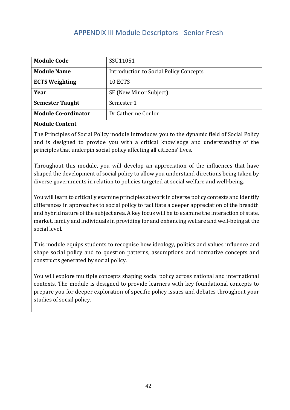# APPENDIX III Module Descriptors - Senior Fresh

<span id="page-41-0"></span>

| <b>Module Code</b>         | SSU11051                                      |
|----------------------------|-----------------------------------------------|
| <b>Module Name</b>         | <b>Introduction to Social Policy Concepts</b> |
| <b>ECTS Weighting</b>      | 10 ECTS                                       |
| Year                       | SF (New Minor Subject)                        |
| <b>Semester Taught</b>     | Semester 1                                    |
| <b>Module Co-ordinator</b> | Dr Catherine Conlon                           |

#### **Module Content**

The Principles of Social Policy module introduces you to the dynamic field of Social Policy and is designed to provide you with a critical knowledge and understanding of the principles that underpin social policy affecting all citizens' lives.

Throughout this module, you will develop an appreciation of the influences that have shaped the development of social policy to allow you understand directions being taken by diverse governments in relation to policies targeted at social welfare and well-being.

You will learn to critically examine principles at work in diverse policy contexts and identify differences in approaches to social policy to facilitate a deeper appreciation of the breadth and hybrid nature of the subject area. A key focus will be to examine the interaction of state, market, family and individuals in providing for and enhancing welfare and well-being at the social level.

This module equips students to recognise how ideology, politics and values influence and shape social policy and to question patterns, assumptions and normative concepts and constructs generated by social policy.

You will explore multiple concepts shaping social policy across national and international contexts. The module is designed to provide learners with key foundational concepts to prepare you for deeper exploration of specific policy issues and debates throughout your studies of social policy.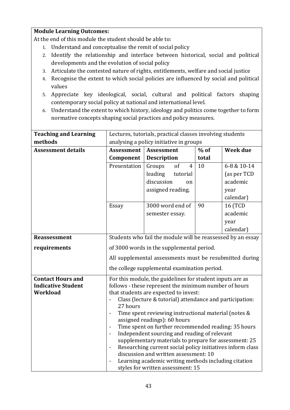# **Module Learning Outcomes:**

At the end of this module the student should be able to:

- 1. Understand and conceptualise the remit of social policy
- 2. Identify the relationship and interface between historical, social and political developments and the evolution of social policy
- 3. Articulate the contested nature of rights, entitlements, welfare and social justice
- 4. Recognise the extent to which social policies are influenced by social and political values
- 5. Appreciate key ideological, social, cultural and political factors shaping contemporary social policy at national and international level.
- 6. Understand the extent to which history, ideology and politics come together to form normative concepts shaping social practices and policy measures.

| <b>Teaching and Learning</b> | Lectures, tutorials, practical classes involving students                                                                           |                                                             |        |                 |  |
|------------------------------|-------------------------------------------------------------------------------------------------------------------------------------|-------------------------------------------------------------|--------|-----------------|--|
| methods                      | analysing a policy initiative in groups                                                                                             |                                                             |        |                 |  |
| <b>Assessment details</b>    | <b>Assessment</b>                                                                                                                   | <b>Assessment</b>                                           | $%$ of | <b>Week due</b> |  |
|                              | Component                                                                                                                           | <b>Description</b>                                          | total  |                 |  |
|                              | Presentation                                                                                                                        | of<br>$\overline{4}$<br>Groups                              | 10     | 6-8 & 10-14     |  |
|                              |                                                                                                                                     | leading<br>tutorial                                         |        | (as per TCD     |  |
|                              |                                                                                                                                     | discussion<br><sub>on</sub>                                 |        | academic        |  |
|                              |                                                                                                                                     | assigned reading.                                           |        | year            |  |
|                              |                                                                                                                                     |                                                             |        | calendar)       |  |
|                              | Essay                                                                                                                               | 3000 word end of                                            | 90     | 16 (TCD         |  |
|                              |                                                                                                                                     | semester essay.                                             |        | academic        |  |
|                              |                                                                                                                                     |                                                             |        | year            |  |
|                              |                                                                                                                                     |                                                             |        | calendar)       |  |
| <b>Reassessment</b>          |                                                                                                                                     | Students who fail the module will be reassessed by an essay |        |                 |  |
| requirements                 |                                                                                                                                     | of 3000 words in the supplemental period.                   |        |                 |  |
|                              | All supplemental assessments must be resubmitted during                                                                             |                                                             |        |                 |  |
|                              | the college supplemental examination period.                                                                                        |                                                             |        |                 |  |
| <b>Contact Hours and</b>     |                                                                                                                                     | For this module, the guidelines for student inputs are as   |        |                 |  |
| <b>Indicative Student</b>    | follows - these represent the minimum number of hours                                                                               |                                                             |        |                 |  |
| <b>Workload</b>              |                                                                                                                                     | that students are expected to invest:                       |        |                 |  |
|                              | Class (lecture & tutorial) attendance and participation:<br>27 hours                                                                |                                                             |        |                 |  |
|                              | Time spent reviewing instructional material (notes &                                                                                |                                                             |        |                 |  |
|                              |                                                                                                                                     | assigned readings): 60 hours                                |        |                 |  |
|                              | $\overline{a}$                                                                                                                      | Time spent on further recommended reading: 35 hours         |        |                 |  |
|                              | Independent sourcing and reading of relevant<br>$\blacksquare$                                                                      |                                                             |        |                 |  |
|                              | supplementary materials to prepare for assessment: 25                                                                               |                                                             |        |                 |  |
|                              | Researching current social policy initiatives inform class<br>$\qquad \qquad \blacksquare$<br>discussion and written assessment: 10 |                                                             |        |                 |  |
|                              | Learning academic writing methods including citation                                                                                |                                                             |        |                 |  |
|                              | styles for written assessment: 15                                                                                                   |                                                             |        |                 |  |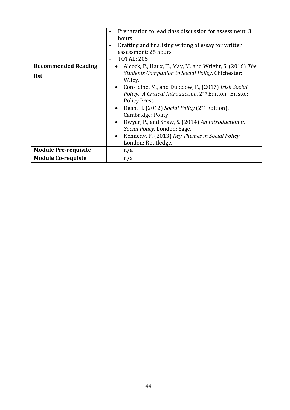|                             | Preparation to lead class discussion for assessment: 3<br>$\overline{\phantom{0}}$<br>hours<br>Drafting and finalising writing of essay for written<br>$\overline{\phantom{a}}$<br>assessment: 25 hours<br><b>TOTAL: 205</b><br>$\overline{\phantom{a}}$ |  |  |  |
|-----------------------------|----------------------------------------------------------------------------------------------------------------------------------------------------------------------------------------------------------------------------------------------------------|--|--|--|
| <b>Recommended Reading</b>  | Alcock, P., Haux, T., May, M. and Wright, S. (2016) The<br>$\bullet$                                                                                                                                                                                     |  |  |  |
| list                        | <b>Students Companion to Social Policy. Chichester:</b><br>Wiley.                                                                                                                                                                                        |  |  |  |
|                             | Considine, M., and Dukelow, F., (2017) Irish Social<br>$\bullet$<br>Policy. A Critical Introduction. 2 <sup>nd</sup> Edition. Bristol:<br>Policy Press.                                                                                                  |  |  |  |
|                             | Dean, H. (2012) Social Policy (2 <sup>nd</sup> Edition).<br>$\bullet$<br>Cambridge: Polity.                                                                                                                                                              |  |  |  |
|                             | Dwyer, P., and Shaw, S. (2014) An Introduction to<br>$\bullet$<br>Social Policy. London: Sage.                                                                                                                                                           |  |  |  |
|                             | Kennedy, P. (2013) Key Themes in Social Policy.<br>$\bullet$                                                                                                                                                                                             |  |  |  |
|                             | London: Routledge.                                                                                                                                                                                                                                       |  |  |  |
| <b>Module Pre-requisite</b> | n/a                                                                                                                                                                                                                                                      |  |  |  |
| <b>Module Co-requiste</b>   | n/a                                                                                                                                                                                                                                                      |  |  |  |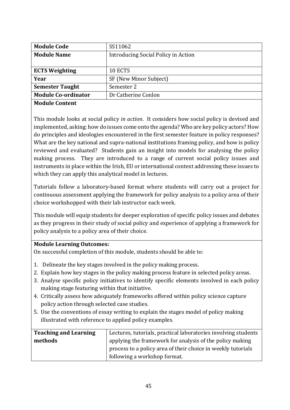| <b>Module Code</b>         | SS11062                             |  |  |
|----------------------------|-------------------------------------|--|--|
| <b>Module Name</b>         | Introducing Social Policy in Action |  |  |
|                            |                                     |  |  |
| <b>ECTS Weighting</b>      | 10 ECTS                             |  |  |
| Year                       | SF (New Minor Subject)              |  |  |
| <b>Semester Taught</b>     | Semester 2                          |  |  |
| <b>Module Co-ordinator</b> | Dr Catherine Conlon                 |  |  |
| <b>Module Content</b>      |                                     |  |  |

This module looks at social policy *in action*. It considers how social policy is devised and implemented, asking: how do issues come onto the agenda? Who are key policy actors? How do principles and ideologies encountered in the first semester feature in policy responses? What are the key national and supra-national institutions framing policy, and how is policy reviewed and evaluated? Students gain an insight into models for analysing the policy making process. They are introduced to a range of current social policy issues and instruments in place within the Irish, EU or international context addressing these issues to which they can apply this analytical model in lectures.

Tutorials follow a laboratory-based format where students will carry out a project for continuous assessment applying the framework for policy analysis to a policy area of their choice workshopped with their lab instructor each week.

This module will equip students for deeper exploration of specific policy issues and debates as they progress in their study of social policy and experience of applying a framework for policy analysis to a policy area of their choice.

# **Module Learning Outcomes:**

On successful completion of this module, students should be able to:

- 1. Delineate the key stages involved in the policy making process.
- 2. Explain how key stages in the policy making process feature in selected policy areas.
- 3. Analyse specific policy initiatives to identify specific elements involved in each policy making stage featuring within that initiative.
- 4. Critically assess how adequately frameworks offered within policy science capture policy action through selected case studies.
- 5. Use the conventions of essay writing to explain the stages model of policy making illustrated with reference to applied policy examples.

| <b>Teaching and Learning</b> | Lectures, tutorials, practical laboratories involving students |  |  |
|------------------------------|----------------------------------------------------------------|--|--|
| methods                      | applying the framework for analysis of the policy making       |  |  |
|                              | process to a policy area of their choice in weekly tutorials   |  |  |
|                              | following a workshop format.                                   |  |  |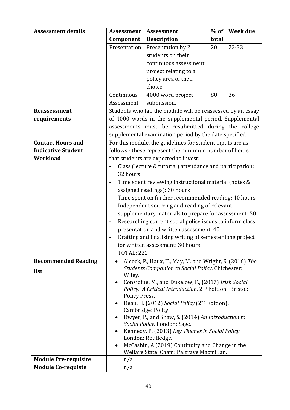| <b>Assessment details</b>   | <b>Assessment</b>                                                                            | <b>Assessment</b>                                                  | $%$ of | Week due |  |
|-----------------------------|----------------------------------------------------------------------------------------------|--------------------------------------------------------------------|--------|----------|--|
|                             | Component                                                                                    | <b>Description</b>                                                 | total  |          |  |
|                             | Presentation                                                                                 | Presentation by 2                                                  | 20     | 23-33    |  |
|                             |                                                                                              | students on their                                                  |        |          |  |
|                             |                                                                                              | continuous assessment                                              |        |          |  |
|                             |                                                                                              | project relating to a                                              |        |          |  |
|                             |                                                                                              | policy area of their                                               |        |          |  |
|                             |                                                                                              | choice                                                             |        |          |  |
|                             | Continuous                                                                                   | 4000 word project                                                  | 80     | 36       |  |
|                             | Assessment                                                                                   | submission.                                                        |        |          |  |
| <b>Reassessment</b>         | Students who fail the module will be reassessed by an essay                                  |                                                                    |        |          |  |
| requirements                | of 4000 words in the supplemental period. Supplemental                                       |                                                                    |        |          |  |
|                             | assessments must be resubmitted during the college                                           |                                                                    |        |          |  |
|                             | supplemental examination period by the date specified.                                       |                                                                    |        |          |  |
| <b>Contact Hours and</b>    | For this module, the guidelines for student inputs are as                                    |                                                                    |        |          |  |
| <b>Indicative Student</b>   | follows - these represent the minimum number of hours                                        |                                                                    |        |          |  |
| <b>Workload</b>             | that students are expected to invest:                                                        |                                                                    |        |          |  |
|                             | Class (lecture & tutorial) attendance and participation:<br>$\overline{\phantom{0}}$         |                                                                    |        |          |  |
|                             | 32 hours                                                                                     |                                                                    |        |          |  |
|                             | Time spent reviewing instructional material (notes &<br>$\overline{\phantom{0}}$             |                                                                    |        |          |  |
|                             |                                                                                              | assigned readings): 30 hours                                       |        |          |  |
|                             | $\overline{\phantom{a}}$                                                                     | Time spent on further recommended reading: 40 hours                |        |          |  |
|                             | Independent sourcing and reading of relevant<br>$\overline{\phantom{a}}$                     |                                                                    |        |          |  |
|                             | supplementary materials to prepare for assessment: 50                                        |                                                                    |        |          |  |
|                             | Researching current social policy issues to inform class<br>۰                                |                                                                    |        |          |  |
|                             | presentation and written assessment: 40                                                      |                                                                    |        |          |  |
|                             | Drafting and finalising writing of semester long project<br>$\overline{\phantom{0}}$         |                                                                    |        |          |  |
|                             | for written assessment: 30 hours                                                             |                                                                    |        |          |  |
|                             | <b>TOTAL: 222</b>                                                                            |                                                                    |        |          |  |
| <b>Recommended Reading</b>  | Alcock, P., Haux, T., May, M. and Wright, S. (2016) The<br>$\bullet$                         |                                                                    |        |          |  |
| list                        | <b>Students Companion to Social Policy. Chichester:</b><br>Wiley.                            |                                                                    |        |          |  |
|                             | $\bullet$                                                                                    | Considine, M., and Dukelow, F., (2017) Irish Social                |        |          |  |
|                             |                                                                                              | Policy. A Critical Introduction. 2 <sup>nd</sup> Edition. Bristol: |        |          |  |
|                             | Policy Press.                                                                                |                                                                    |        |          |  |
|                             | $\bullet$                                                                                    | Dean, H. (2012) Social Policy (2 <sup>nd</sup> Edition).           |        |          |  |
|                             |                                                                                              | Cambridge: Polity.                                                 |        |          |  |
|                             | Dwyer, P., and Shaw, S. (2014) An Introduction to<br>$\bullet$                               |                                                                    |        |          |  |
|                             | Social Policy. London: Sage.<br>Kennedy, P. (2013) Key Themes in Social Policy.<br>$\bullet$ |                                                                    |        |          |  |
|                             | London: Routledge.                                                                           |                                                                    |        |          |  |
|                             | ٠                                                                                            | McCashin, A (2019) Continuity and Change in the                    |        |          |  |
|                             |                                                                                              | Welfare State. Cham: Palgrave Macmillan.                           |        |          |  |
| <b>Module Pre-requisite</b> | n/a                                                                                          |                                                                    |        |          |  |
| <b>Module Co-requiste</b>   | n/a                                                                                          |                                                                    |        |          |  |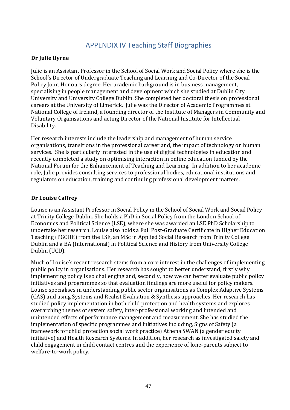# APPENDIX IV Teaching Staff Biographies

#### <span id="page-46-0"></span>**Dr Julie Byrne**

Julie is an Assistant Professor in the School of Social Work and Social Policy where she is the School's Director of Undergraduate Teaching and Learning and Co-Director of the Social Policy Joint Honours degree. Her academic background is in business management, specialising in people management and development which she studied at Dublin City University and University College Dublin. She completed her doctoral thesis on professional careers at the University of Limerick. Julie was the Director of Academic Programmes at National College of Ireland, a founding director of the Institute of Managers in Community and Voluntary Organisations and acting Director of the National Institute for Intellectual Disability.

Her research interests include the leadership and management of human service organisations, transitions in the professional career and, the impact of technology on human services. She is particularly interested in the use of digital technologies in education and recently completed a study on optimising interaction in online education funded by the National Forum for the Enhancement of Teaching and Learning. In addition to her academic role, Julie provides consulting services to professional bodies, educational institutions and regulators on education, training and continuing professional development matters.

# **Dr Louise Caffrey**

Louise is an Assistant Professor in Social Policy in the School of Social Work and Social Policy at Trinity College Dublin. She holds a PhD in Social Policy from the London School of Economics and Political Science (LSE), where she was awarded an LSE PhD Scholarship to undertake her research. Louise also holds a Full Post-Graduate Certificate in Higher Education Teaching (PGCHE) from the LSE, an MSc in Applied Social Research from Trinity College Dublin and a BA (International) in Political Science and History from University College Dublin (UCD).

Much of Louise's recent research stems from a core interest in the challenges of implementing public policy in organisations. Her research has sought to better understand, firstly why implementing policy is so challenging and, secondly, how we can better evaluate public policy initiatives and programmes so that evaluation findings are more useful for policy makers. Louise specialises in understanding public sector organisations as Complex Adaptive Systems (CAS) and using Systems and Realist Evaluation & Synthesis approaches. Her research has studied policy implementation in both child protection and health systems and explores overarching themes of system safety, inter-professional working and intended and unintended effects of performance management and measurement. She has studied the implementation of specific programmes and initiatives including, Signs of Safety (a framework for child protection social work practice) Athena SWAN (a gender equity initiative) and Health Research Systems. In addition, her research as investigated safety and child engagement in child contact centres and the experience of lone-parents subject to welfare-to-work policy.